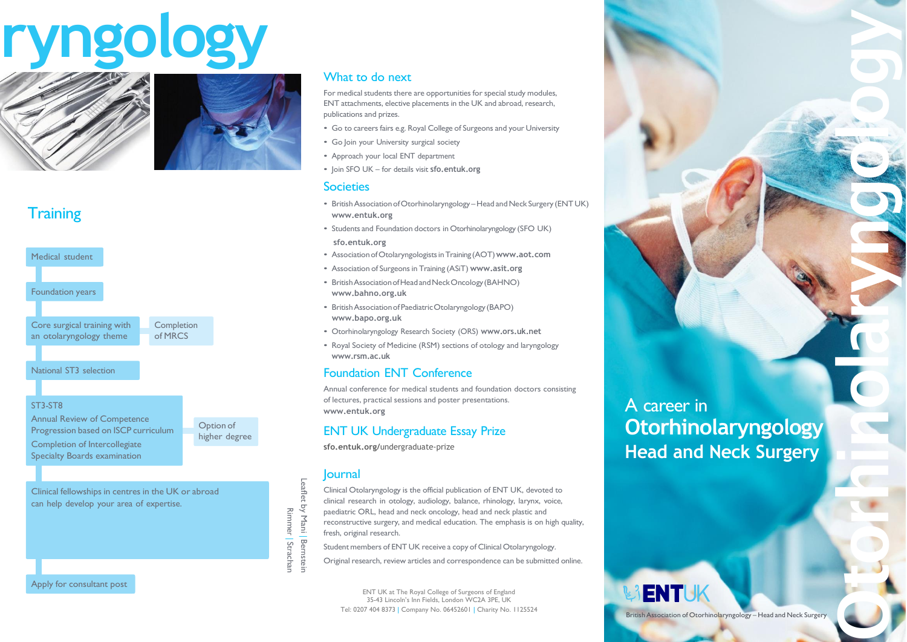## **ryngology**



#### **Training**



#### ST3-ST8

Annual Review of Competence Progression based on ISCP curriculum Completion of Intercollegiate Specialty Boards examination

Option of higher degree

Clinical fellowships in centres in the UK or abroad can help develop your area of expertise.

by Mani | BernstRimmer | Strachan

Leaflet

-

#### What to do next

For medical students there are opportunities for special study modules, ENT attachments, elective placements in the UK and abroad, research, publications and prizes.

- Go to careers fairs e.g. Royal College of Surgeons and your University
- Go Join your University surgical society
- Approach your local ENT department
- Join SFO UK for details visit **[sfo.entuk.org](http://www.entuk.org/)**

#### **Societies**

- British Association of Otorhinolaryngology Head and Neck Surgery (ENT UK) **[www.entuk.org](http://www.entuk.org/)**
- Students and Foundation doctors in Otorhinolaryngology (SFO UK) **[sfo.entuk.org](http://www.asit.org/)**
- AssociationofOtolaryngologistsinTraining (AOT)**[www.aot.com](http://www.aot.com/)**
- Association of Surgeonsin Training (ASiT) **[www.asit.org](http://www.asit.org/)**
- BritishAssociationofHeadandNeckOncology(BAHNO) **[www.bahno.org.uk](http://www.bahno.org.uk/)**
- BritishAssociationofPaediatricOtolaryngology (BAPO) **[www.bapo.org.uk](http://www.bapo.org.uk/)**
- Otorhinolaryngology Research Society (ORS) **[www.ors.uk.net](http://www.ors.uk.net/)**
- Royal Society of Medicine (RSM) sections of otology and laryngology **[www.rsm.ac.uk](http://www.rsm.ac.uk/)**

#### Foundation ENT Conference

Annual conference for medical students and foundation doctors consisting of lectures, practical sessions and poster presentations. **[www.entuk.org](http://www.entuk.org/)**

#### ENT UK Undergraduate Essay Prize

**[sfo.entuk.org/](http://www.entuk.org/)**undergraduate-prize

#### Journal

Clinical Otolaryngology is the official publication of ENT UK, devoted to clinical research in otology, audiology, balance, rhinology, larynx, voice, paediatric ORL, head and neck oncology, head and neck plastic and reconstructive surgery, and medical education. The emphasis is on high quality, fresh, original research.

Student members of ENT UK receive a copy of Clinical Otolaryngology.

Original research, review articles and correspondence can be submitted online.

ENT UK at The Royal College of Surgeons of England 35-43 Lincoln's Inn Fields, London WC2A 3PE, UK Tel: 0207 404 8373 | Company No. 06452601 | Charity No. 1125524 A career in **Otorhinolaryngology Head and Neck Surgery**



British Association of Otorhinolaryngology – Head and Neck Surgery

**ENTIJ** 

**O**

**t**

**o**

**r**

**n**

**o**

**a**

**r** 

**n** 

**g**

**o**

**o**

**y**

**l** 

**y** 

**l**

**h**